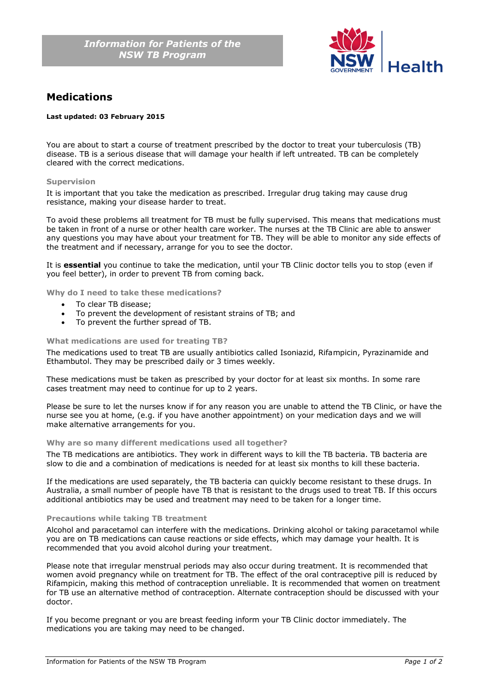

# **Medications**

# **Last updated: 03 February 2015**

You are about to start a course of treatment prescribed by the doctor to treat your tuberculosis (TB) disease. TB is a serious disease that will damage your health if left untreated. TB can be completely cleared with the correct medications.

## **Supervision**

It is important that you take the medication as prescribed. Irregular drug taking may cause drug resistance, making your disease harder to treat.

To avoid these problems all treatment for TB must be fully supervised. This means that medications must be taken in front of a nurse or other health care worker. The nurses at the TB Clinic are able to answer any questions you may have about your treatment for TB. They will be able to monitor any side effects of the treatment and if necessary, arrange for you to see the doctor.

It is **essential** you continue to take the medication, until your TB Clinic doctor tells you to stop (even if you feel better), in order to prevent TB from coming back.

**Why do I need to take these medications?**

- To clear TB disease:
- To prevent the development of resistant strains of TB; and
- To prevent the further spread of TB.

## **What medications are used for treating TB?**

The medications used to treat TB are usually antibiotics called Isoniazid, Rifampicin, Pyrazinamide and Ethambutol. They may be prescribed daily or 3 times weekly.

These medications must be taken as prescribed by your doctor for at least six months. In some rare cases treatment may need to continue for up to 2 years.

Please be sure to let the nurses know if for any reason you are unable to attend the TB Clinic, or have the nurse see you at home, (e.g. if you have another appointment) on your medication days and we will make alternative arrangements for you.

# **Why are so many different medications used all together?**

The TB medications are antibiotics. They work in different ways to kill the TB bacteria. TB bacteria are slow to die and a combination of medications is needed for at least six months to kill these bacteria.

If the medications are used separately, the TB bacteria can quickly become resistant to these drugs. In Australia, a small number of people have TB that is resistant to the drugs used to treat TB. If this occurs additional antibiotics may be used and treatment may need to be taken for a longer time.

#### **Precautions while taking TB treatment**

Alcohol and paracetamol can interfere with the medications. Drinking alcohol or taking paracetamol while you are on TB medications can cause reactions or side effects, which may damage your health. It is recommended that you avoid alcohol during your treatment.

Please note that irregular menstrual periods may also occur during treatment. It is recommended that women avoid pregnancy while on treatment for TB. The effect of the oral contraceptive pill is reduced by Rifampicin, making this method of contraception unreliable. It is recommended that women on treatment for TB use an alternative method of contraception. Alternate contraception should be discussed with your doctor.

If you become pregnant or you are breast feeding inform your TB Clinic doctor immediately. The medications you are taking may need to be changed.